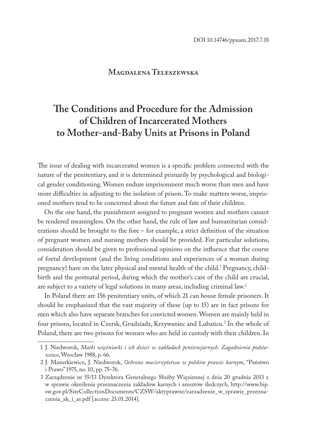## **Magdalena Teleszewska**

# **The Conditions and Procedure for the Admission of Children of Incarcerated Mothers to Mother-and-Baby Units at Prisons in Poland**

The issue of dealing with incarcerated women is a specific problem connected with the nature of the penitentiary, and it is determined primarily by psychological and biological gender conditioning. Women endure imprisonment much worse than men and have more difficulties in adjusting to the isolation of prison. To make matters worse, imprisoned mothers tend to be concerned about the future and fate of their children.

On the one hand, the punishment assigned to pregnant women and mothers cannot be rendered meaningless. On the other hand, the rule of law and humanitarian considerations should be brought to the fore – for example, a strict definition of the situation of pregnant women and nursing mothers should be provided. For particular solutions, consideration should be given to professional opinions on the influence that the course of foetal development (and the living conditions and experiences of a woman during pregnancy) have on the later physical and mental health of the child.<sup>1</sup> Pregnancy, childbirth and the postnatal period, during which the mother's care of the child are crucial, are subject to a variety of legal solutions in many areas, including criminal law.2

In Poland there are 156 penitentiary units, of which 21 can house female prisoners. It should be emphasized that the vast majority of these (up to 15) are in fact prisons for men which also have separate branches for convicted women. Women are mainly held in four prisons, located in Czersk, Grudziadz, Krzywaniec and Lubańcu.<sup>3</sup> In the whole of Poland, there are two prisons for women who are held in custody with their children. In

<sup>1</sup> J. Niedworok, *Matki więźniarki i ich dzieci w zakładach penitencjarnych. Zagadnienia podstawowe*, Wrocław 1988, p. 66.

<sup>2</sup> J. Mazurkiewicz, J. Niedworok, *Ochrona macierzyństwa w polskim prawie karnym*, "Państwo i Prawo" 1975, no. 10, pp. 75–76.

<sup>3</sup> Zarządzenie nr 55/13 Dyrektora Generalnego Służby Więziennej z dnia 20 grudnia 2013 r. w sprawie określenia przeznaczenia zakładów karnych i aresztów śledczych, http://www.bip. sw.gov.pl/SiteCollectionDocuments/CZSW/aktyprawne/zarzadzenie\_w\_sprawie\_przeznaczenia\_zk\_i\_as.pdf [access: 23.01.2014].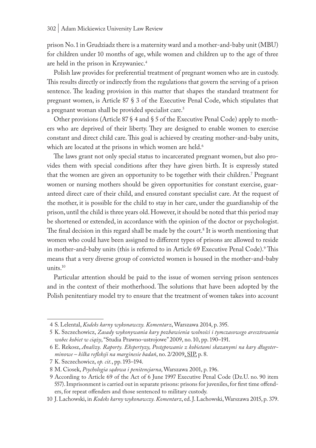prison No. 1 in Grudziadz there is a maternity ward and a mother-and-baby unit (MBU) for children under 10 months of age, while women and children up to the age of three are held in the prison in Krzywaniec.4

Polish law provides for preferential treatment of pregnant women who are in custody. This results directly or indirectly from the regulations that govern the serving of a prison sentence. The leading provision in this matter that shapes the standard treatment for pregnant women, is Article 87 § 3 of the Executive Penal Code, which stipulates that a pregnant woman shall be provided specialist care.<sup>5</sup>

Other provisions (Article 87  $\S$  4 and  $\S$  5 of the Executive Penal Code) apply to mothers who are deprived of their liberty. They are designed to enable women to exercise constant and direct child care. This goal is achieved by creating mother-and-baby units, which are located at the prisons in which women are held.<sup>6</sup>

The laws grant not only special status to incarcerated pregnant women, but also provides them with special conditions after they have given birth. It is expressly stated that the women are given an opportunity to be together with their children.7 Pregnant women or nursing mothers should be given opportunities for constant exercise, guaranteed direct care of their child, and ensured constant specialist care. At the request of the mother, it is possible for the child to stay in her care, under the guardianship of the prison, until the child is three years old. However, it should be noted that this period may be shortened or extended, in accordance with the opinion of the doctor or psychologist. The final decision in this regard shall be made by the court.<sup>8</sup> It is worth mentioning that women who could have been assigned to different types of prisons are allowed to reside in mother-and-baby units (this is referred to in Article 69 Executive Penal Code).<sup>9</sup> This means that a very diverse group of convicted women is housed in the mother-and-baby units.10

Particular attention should be paid to the issue of women serving prison sentences and in the context of their motherhood. The solutions that have been adopted by the Polish penitentiary model try to ensure that the treatment of women takes into account

<sup>4</sup> S. Lelental, *Kodeks karny wykonawczy. Komentarz*, Warszawa 2014, p. 395.

<sup>5</sup> K. Szczechowicz, *Zasady wykonywania kary pozbawienia wolności i tymczasowego aresztowania wobec kobiet w ciąży*, "Studia Prawno-ustrojowe" 2009, no. 10, pp. 190–191.

<sup>6</sup> E. Rekosz, *Analizy. Raporty. Ekspertyzy, Postępowanie z kobietami skazanymi na kary długoterminowe – kilka refleksji na marginesie badań*, no. 2/2009, SIP, p. 8.

<sup>7</sup> K. Szczechowicz, *op. cit.*, pp. 193–194.

<sup>8</sup> M. Ciosek, *Psychologia sądowa i penitencjarna*, Warszawa 2001, p. 196.

<sup>9</sup> According to Article 69 of the Act of 6 June 1997 Executive Penal Code (Dz.U. no. 90 item 557). Imprisonment is carried out in separate prisons: prisons for juveniles, for first time offenders, for repeat offenders and those sentenced to military custody.

<sup>10</sup> J. Lachowski, in *Kodeks karny wykonawczy. Komentarz*, ed. J. Lachowski, Warszawa 2015, p. 379.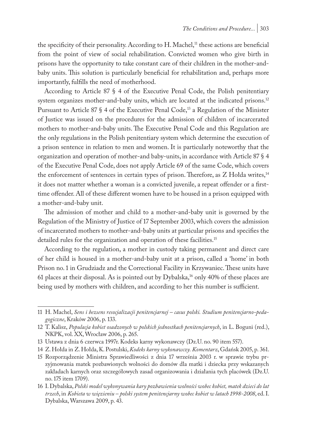the specificity of their personality. According to  $H$ . Machel,<sup>11</sup> these actions are beneficial from the point of view of social rehabilitation. Convicted women who give birth in prisons have the opportunity to take constant care of their children in the mother-andbaby units. This solution is particularly beneficial for rehabilitation and, perhaps more importantly, fulfills the need of motherhood.

According to Article 87 § 4 of the Executive Penal Code, the Polish penitentiary system organizes mother-and-baby units, which are located at the indicated prisons.<sup>12</sup> Pursuant to Article 87 § 4 of the Executive Penal Code,<sup>13</sup> a Regulation of the Minister of Justice was issued on the procedures for the admission of children of incarcerated mothers to mother-and-baby units. The Executive Penal Code and this Regulation are the only regulations in the Polish penitentiary system which determine the execution of a prison sentence in relation to men and women. It is particularly noteworthy that the organization and operation of mother-and baby-units, in accordance with Article 87 § 4 of the Executive Penal Code, does not apply Article 69 of the same Code, which covers the enforcement of sentences in certain types of prison. Therefore, as Z Hołda writes,<sup>14</sup> it does not matter whether a woman is a convicted juvenile, a repeat offender or a firsttime offender. All of these different women have to be housed in a prison equipped with a mother-and-baby unit.

The admission of mother and child to a mother-and-baby unit is governed by the Regulation of the Ministry of Justice of 17 September 2003, which covers the admission of incarcerated mothers to mother-and-baby units at particular prisons and specifies the detailed rules for the organization and operation of these facilities.<sup>15</sup>

According to the regulation, a mother in custody taking permanent and direct care of her child is housed in a mother-and-baby unit at a prison, called a 'home' in both Prison no. 1 in Grudziadz and the Correctional Facility in Krzywaniec. These units have 61 places at their disposal. As is pointed out by Dybalska,<sup>16</sup> only 40% of these places are being used by mothers with children, and according to her this number is sufficient.

<sup>11</sup> H. Machel, *Sens i bezsens resocjalizacji penitencjarnej – casus polski. Studium penitencjarno-pedagogiczne*, Kraków 2006, p. 133.

<sup>12</sup> T. Kalisz, *Populacja kobiet osadzonych w polskich jednostkach penitencjarnych*, in L. Boguni (red.), NKPK, vol. XX, Wrocław 2006, p. 265.

<sup>13</sup> Ustawa z dnia 6 czerwca 1997r. Kodeks karny wykonawczy (Dz.U. no. 90 item 557).

<sup>14</sup> Z. Hołda in Z. Hołda, K. Postulski, *Kodeks karny wykonawczy. Komentarz*, Gdańsk 2005, p. 361.

<sup>15</sup> Rozporządzenie Ministra Sprawiedliwości z dnia 17 września 2003 r. w sprawie trybu przyjmowania matek pozbawionych wolności do domów dla matki i dziecka przy wskazanych zakładach karnych oraz szczegółowych zasad organizowania i działania tych placówek (Dz.U. no. 175 item 1709).

<sup>16</sup> I. Dybalska, *Polski model wykonywania kary pozbawienia wolności wobec kobiet, matek dzieci do lat trzech*, in *Kobieta w więzieniu – polski system penitencjarny wobec kobiet w latach 1998-2008*, ed. I. Dybalska, Warszawa 2009, p. 43.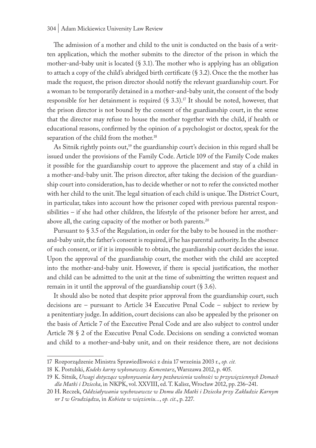### 304 | Adam Mickiewicz University Law Review

The admission of a mother and child to the unit is conducted on the basis of a written application, which the mother submits to the director of the prison in which the mother-and-baby unit is located (§ 3.1). The mother who is applying has an obligation to attach a copy of the child's abridged birth certificate (§ 3.2). Once the the mother has made the request, the prison director should notify the relevant guardianship court. For a woman to be temporarily detained in a mother-and-baby unit, the consent of the body responsible for her detainment is required  $(\S 3.3).^{17}$  It should be noted, however, that the prison director is not bound by the consent of the guardianship court, in the sense that the director may refuse to house the mother together with the child, if health or educational reasons, confirmed by the opinion of a psychologist or doctor, speak for the separation of the child from the mother.<sup>18</sup>

As Sitnik rightly points out,<sup>19</sup> the guardianship court's decision in this regard shall be issued under the provisions of the Family Code. Article 109 of the Family Code makes it possible for the guardianship court to approve the placement and stay of a child in a mother-and-baby unit. The prison director, after taking the decision of the guardianship court into consideration, has to decide whether or not to refer the convicted mother with her child to the unit. The legal situation of each child is unique. The District Court, in particular, takes into account how the prisoner coped with previous parental responsibilities – if she had other children, the lifestyle of the prisoner before her arrest, and above all, the caring capacity of the mother or both parents.<sup>20</sup>

Pursuant to § 3.5 of the Regulation, in order for the baby to be housed in the motherand-baby unit, the father's consent is required, if he has parental authority. In the absence of such consent, or if it is impossible to obtain, the guardianship court decides the issue. Upon the approval of the guardianship court, the mother with the child are accepted into the mother-and-baby unit. However, if there is special justification, the mother and child can be admitted to the unit at the time of submitting the written request and remain in it until the approval of the guardianship court (§ 3.6).

It should also be noted that despite prior approval from the guardianship court, such decisions are – pursuant to Article 34 Executive Penal Code – subject to review by a penitentiary judge. In addition, court decisions can also be appealed by the prisoner on the basis of Article 7 of the Executive Penal Code and are also subject to control under Article 78 § 2 of the Executive Penal Code. Decisions on sending a convicted woman and child to a mother-and-baby unit, and on their residence there, are not decisions

<sup>17</sup> Rozporządzenie Ministra Sprawiedliwości z dnia 17 września 2003 r., *op. cit.*

<sup>18</sup> K. Postulski, *Kodeks karny wykonawczy. Komentarz*, Warszawa 2012, p. 405.

<sup>19</sup> K. Sitnik, *Uwagi dotyczące wykonywania kary pozbawienia wolności w przywięziennych Domach dla Matki i Dziecka*, in NKPK, vol. XXVIII, ed. T. Kalisz, Wrocław 2012, pp. 236–241.

<sup>20</sup> H. Reczek, *Oddziaływania wychowawcze w Domu dla Matki i Dziecka przy Zakładzie Karnym nr 1 w Grudziądzu*, in *Kobieta w więzieniu...*, *op. cit*., p. 227.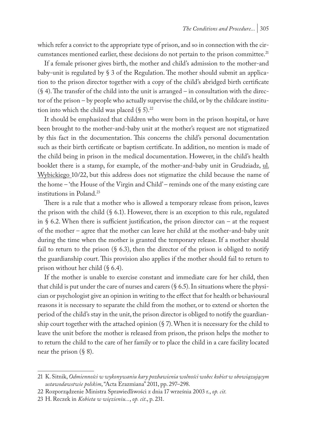which refer a convict to the appropriate type of prison, and so in connection with the circumstances mentioned earlier, these decisions do not pertain to the prison committee.<sup>21</sup>

If a female prisoner gives birth, the mother and child's admission to the mother-and baby-unit is regulated by § 3 of the Regulation. The mother should submit an application to the prison director together with a copy of the child's abridged birth certificate  $(\S 4)$ . The transfer of the child into the unit is arranged – in consultation with the director of the prison – by people who actually supervise the child, or by the childcare institution into which the child was placed  $(\S 5)^{22}$ 

It should be emphasized that children who were born in the prison hospital, or have been brought to the mother-and-baby unit at the mother's request are not stigmatized by this fact in the documentation. This concerns the child's personal documentation such as their birth certificate or baptism certificate. In addition, no mention is made of the child being in prison in the medical documentation. However, in the child's health booklet there is a stamp, for example, of the mother-and-baby unit in Grudziadz, ul. Wybickiego 10/22, but this address does not stigmatize the child because the name of the home – 'the House of the Virgin and Child' – reminds one of the many existing care institutions in Poland.23

There is a rule that a mother who is allowed a temporary release from prison, leaves the prison with the child  $(\S 6.1)$ . However, there is an exception to this rule, regulated in § 6.2. When there is sufficient justification, the prison director can – at the request of the mother – agree that the mother can leave her child at the mother-and-baby unit during the time when the mother is granted the temporary release. If a mother should fail to return to the prison  $(\S$  6.3), then the director of the prison is obliged to notify the guardianship court. This provision also applies if the mother should fail to return to prison without her child (§ 6.4).

If the mother is unable to exercise constant and immediate care for her child, then that child is put under the care of nurses and carers  $(§ 6.5)$ . In situations where the physician or psychologist give an opinion in writing to the effect that for health or behavioural reasons it is necessary to separate the child from the mother, or to extend or shorten the period of the child's stay in the unit, the prison director is obliged to notify the guardianship court together with the attached opinion (§ 7). When it is necessary for the child to leave the unit before the mother is released from prison, the prison helps the mother to to return the child to the care of her family or to place the child in a care facility located near the prison  $(\S 8)$ .

<sup>21</sup> K. Sitnik, *Odmienności w wykonywaniu kary pozbawienia wolności wobec kobiet w obowiązującym ustawodawstwie polskim*, "Acta Erazmiana" 2011, pp. 297–298.

<sup>22</sup> Rozporządzenie Ministra Sprawiedliwości z dnia 17 września 2003 r., *op. cit.*

<sup>23</sup> H. Reczek in *Kobieta w więzieniu...*, *op. cit*., p. 231.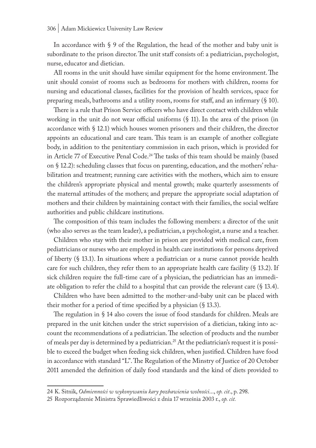In accordance with § 9 of the Regulation, the head of the mother and baby unit is subordinate to the prison director. The unit staff consists of: a pediatrician, psychologist, nurse, educator and dietician.

All rooms in the unit should have similar equipment for the home environment. The unit should consist of rooms such as bedrooms for mothers with children, rooms for nursing and educational classes, facilities for the provision of health services, space for preparing meals, bathrooms and a utility room, rooms for staff, and an infirmary (§ 10).

There is a rule that Prison Service officers who have direct contact with children while working in the unit do not wear official uniforms (§ 11). In the area of the prison (in accordance with § 12.1) which houses women prisoners and their children, the director appoints an educational and care team. This team is an example of another collegiate body, in addition to the penitentiary commission in each prison, which is provided for in Article 77 of Executive Penal Code.<sup>24</sup> The tasks of this team should be mainly (based on § 12.2): scheduling classes that focus on parenting, education, and the mothers' rehabilitation and treatment; running care activities with the mothers, which aim to ensure the children's appropriate physical and mental growth; make quarterly assessments of the maternal attitudes of the mothers; and prepare the appropriate social adaptation of mothers and their children by maintaining contact with their families, the social welfare authorities and public childcare institutions.

The composition of this team includes the following members: a director of the unit (who also serves as the team leader), a pediatrician, a psychologist, a nurse and a teacher.

Children who stay with their mother in prison are provided with medical care, from pediatricians or nurses who are employed in health care institutions for persons deprived of liberty (§ 13.1). In situations where a pediatrician or a nurse cannot provide health care for such children, they refer them to an appropriate health care facility  $(\S 13.2)$ . If sick children require the full-time care of a physician, the pediatrician has an immediate obligation to refer the child to a hospital that can provide the relevant care (§ 13.4).

Children who have been admitted to the mother-and-baby unit can be placed with their mother for a period of time specified by a physician (§ 13.3).

The regulation in § 14 also covers the issue of food standards for children. Meals are prepared in the unit kitchen under the strict supervision of a dietician, taking into account the recommendations of a pediatrician. The selection of products and the number of meals per day is determined by a pediatrician.<sup>25</sup> At the pediatrician's request it is possible to exceed the budget when feeding sick children, when justified. Children have food in accordance with standard "L". The Regulation of the Minstry of Justice of 20 October 2011 amended the definition of daily food standards and the kind of diets provided to

<sup>24</sup> K. Sitnik, *Odmienności w wykonywaniu kary pozbawienia wolności*..., *op. cit*., p. 298.

<sup>25</sup> Rozporządzenie Ministra Sprawiedliwości z dnia 17 września 2003 r., *op. cit.*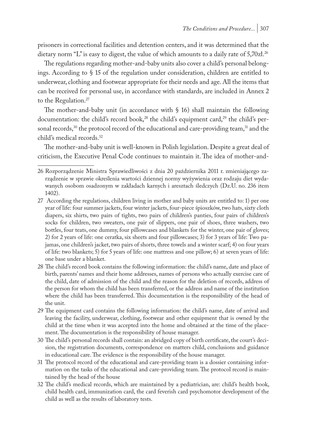prisoners in correctional facilities and detention centers, and it was determined that the dietary norm "L" is easy to digest, the value of which amounts to a daily rate of 5,70zł.<sup>26</sup>

The regulations regarding mother-and-baby units also cover a child's personal belongings. According to § 15 of the regulation under consideration, children are entitled to underwear, clothing and footwear appropriate for their needs and age. All the items that can be received for personal use, in accordance with standards, are included in Annex 2 to the Regulation.<sup>27</sup>

The mother-and-baby unit (in accordance with  $\S$  16) shall maintain the following documentation: the child's record book,<sup>28</sup> the child's equipment card,<sup>29</sup> the child's personal records, $30$  the protocol record of the educational and care-providing team, $31$  and the child's medical records.32

The mother-and-baby unit is well-known in Polish legislation. Despite a great deal of criticism, the Executive Penal Code continues to maintain it. The idea of mother-and-

- 28 The child's record book contains the following information: the child's name, date and place of birth, parents' names and their home addresses, names of persons who actually exercise care of the child, date of admission of the child and the reason for the deletion of records, address of the person for whom the child has been transferred, or the address and name of the institution where the child has been transferred. This documentation is the responsibility of the head of the unit.
- 29 The equipment card contains the following information: the child's name, date of arrival and leaving the facility, underwear, clothing, footwear and other equipment that is owned by the child at the time when it was accepted into the home and obtained at the time of the placement. The documentation is the responsibility of house manager.
- 30 The child's personal records shall contain: an abridged copy of birth certificate, the court's decision, the registration documents, correspondence on matters child, conclusions and guidance in educational care. The evidence is the responsibility of the house manager.
- 31 The protocol record of the educational and care-providing team is a dossier containing information on the tasks of the educational and care-providing team. The protocol record is maintained by the head of the house
- 32 The child's medical records, which are maintained by a pediatrician, are: child's health book, child health card, immunization card, the card feverish card psychomotor development of the child as well as the results of laboratory tests.

<sup>26</sup> Rozporządzenie Ministra Sprawiedliwości z dnia 20 października 2011 r. zmieniającego zarządzenie w sprawie określenia wartości dziennej normy wyżywienia oraz rodzaju diet wydawanych osobom osadzonym w zakładach karnych i aresztach śledczych (Dz.U. no. 236 item 1402).

<sup>27</sup> According the regulations, children living in mother and baby units are entitled to: 1) per one year of life: four summer jackets, four winter jackets, four-piece śpioszków, two hats, sixty cloth diapers, six shirts, two pairs of tights, two pairs of children's panties, four pairs of children's socks for children, two sweaters, one pair of slippers, one pair of shoes, three washers, two bottles, four teats, one dummy, four pillowcases and blankets for the winter, one pair of gloves; 2) for 2 years of life: one ceratka, six sheets and four pillowcases; 3) for 3 years of life: Two pajamas, one children's jacket, two pairs of shorts, three towels and a winter scarf; 4) on four years of life: two blankets; 5) for 5 years of life: one mattress and one pillow; 6) at seven years of life: one base under a blanket.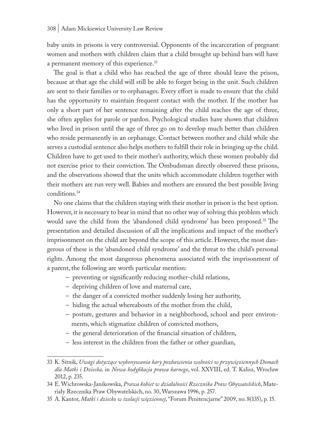baby units in prisons is very controversial. Opponents of the incarceration of pregnant women and mothers with children claim that a child brought up behind bars will have a permanent memory of this experience.<sup>33</sup>

The goal is that a child who has reached the age of three should leave the prison, because at that age the child will still be able to forget being in the unit. Such children are sent to their families or to orphanages. Every effort is made to ensure that the child has the opportunity to maintain frequent contact with the mother. If the mother has only a short part of her sentence remaining after the child reaches the age of three, she often applies for parole or pardon. Psychological studies have shown that children who lived in prison until the age of three go on to develop much better than children who reside permanently in an orphanage. Contact between mother and child while she serves a custodial sentence also helps mothers to fulfill their role in bringing up the child. Children have to get used to their mother's authority, which these women probably did not exercise prior to their conviction. The Ombudsman directly observed these prisons, and the observations showed that the units which accommodate children together with their mothers are run very well. Babies and mothers are ensured the best possible living conditions.34

No one claims that the children staying with their mother in prison is the best option. However, it is necessary to bear in mind that no other way of solving this problem which would save the child from the 'abandoned child syndrome' has been proposed.<sup>35</sup> The presentation and detailed discussion of all the implications and impact of the mother's imprisonment on the child are beyond the scope of this article. However, the most dangerous of these is the 'abandoned child syndrome' and the threat to the child's personal rights. Among the most dangerous phenomena associated with the imprisonment of a parent, the following are worth particular mention:

- preventing or significantly reducing mother-child relations,
- depriving children of love and maternal care,
- the danger of a convicted mother suddenly losing her authority,
- hiding the actual whereabouts of the mother from the child,
- posture, gestures and behavior in a neighborhood, school and peer environments, which stigmatize children of convicted mothers,
- the general deterioration of the financial situation of children,
- less interest in the children from the father or other guardian,

35 A. Kantor, *Matki i dziecko w izolacji więziennej*, "Forum Penitencjarne" 2009, no. 8(135), p. 15.

<sup>33</sup> K. Sitnik, *Uwagi dotyczące wykonywania kary pozbawienia wolności w przywięziennych Domach dla Matki i Dziecka,* in *Nowa kodyfikacja prawa karnego*, vol. XXVIII, ed. T. Kalisz, Wrocław 2012, p. 235.

<sup>34</sup> E. Wichrowska-Janikowska, *Prawa kobiet w działalności Rzecznika Praw Obywatelskich*, Materiały Rzecznika Praw Obywatelskich, no. 30, Warszawa 1996, p. 257.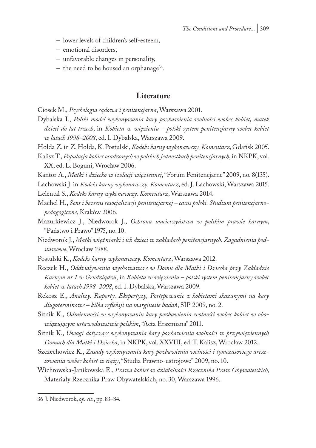- lower levels of children's self-esteem,
- emotional disorders,
- unfavorable changes in personality,
- the need to be housed an orphanage<sup>36</sup>.

## **Literature**

Ciosek M., *Psychologia sądowa i penitencjarna*, Warszawa 2001.

Dybalska I., *Polski model wykonywania kary pozbawienia wolności wobec kobiet, matek dzieci do lat trzech*, in *Kobieta w więzieniu – polski system penitencjarny wobec kobiet w latach 1998–2008*, ed. I. Dybalska, Warszawa 2009.

Hołda Z. in Z. Hołda, K. Postulski, *Kodeks karny wykonawczy. Komentarz*, Gdańsk 2005.

Kalisz T., *Populacja kobiet osadzonych w polskich jednostkach penitencjarnych*, in NKPK, vol. XX, ed. L. Boguni, Wrocław 2006.

Kantor A., *Matki i dziecko w izolacji więziennej*, "Forum Penitencjarne" 2009, no. 8(135).

Lachowski J. in *Kodeks karny wykonawczy. Komentarz*, ed. J. Lachowski, Warszawa 2015.

Lelental S., *Kodeks karny wykonawczy. Komentarz*, Warszawa 2014.

- Machel H., *Sens i bezsens resocjalizacji penitencjarnej casus polski. Studium penitencjarnopedagogiczne*, Kraków 2006.
- Mazurkiewicz J., Niedworok J., *Ochrona macierzyństwa w polskim prawie karnym*, "Państwo i Prawo" 1975, no. 10.

Niedworok J., *Matki więźniarki i ich dzieci w zakładach penitencjarnych. Zagadnienia podstawowe*, Wrocław 1988.

- Postulski K., *Kodeks karny wykonawczy. Komentarz*, Warszawa 2012.
- Reczek H., *Oddziaływania wychowawcze w Domu dla Matki i Dziecka przy Zakładzie Karnym nr 1 w Grudziądzu*, in *Kobieta w więzieniu – polski system penitencjarny wobec kobiet w latach 1998–2008*, ed. I. Dybalska, Warszawa 2009.
- Rekosz E., *Analizy. Raporty. Ekspertyzy, Postępowanie z kobietami skazanymi na kary długoterminowe – kilka refleksji na marginesie badań*, SIP 2009, no. 2.
- Sitnik K., *Odmienności w wykonywaniu kary pozbawienia wolności wobec kobiet w obowiązującym ustawodawstwie polskim*, "Acta Erazmiana" 2011.
- Sitnik K., *Uwagi dotyczące wykonywania kary pozbawienia wolności w przywięziennych Domach dla Matki i Dziecka*, in NKPK, vol. XXVIII, ed. T. Kalisz, Wrocław 2012.
- Szczechowicz K., *Zasady wykonywania kary pozbawienia wolności i tymczasowego aresztowania wobec kobiet w ciąży*, "Studia Prawno-ustrojowe" 2009, no. 10.
- Wichrowska-Janikowska E., *Prawa kobiet w działalności Rzecznika Praw Obywatelskich*, Materiały Rzecznika Praw Obywatelskich, no. 30, Warszawa 1996.

<sup>36</sup> J. Niedworok, *op. cit*., pp. 83–84.